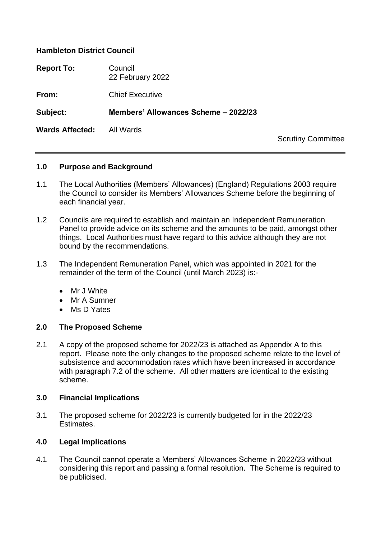### **Hambleton District Council**

| <b>Report To:</b>      | Council<br>22 February 2022          |                           |
|------------------------|--------------------------------------|---------------------------|
| From:                  | <b>Chief Executive</b>               |                           |
| Subject:               | Members' Allowances Scheme - 2022/23 |                           |
| <b>Wards Affected:</b> | All Wards                            | <b>Scrutiny Committee</b> |

### **1.0 Purpose and Background**

- 1.1 The Local Authorities (Members' Allowances) (England) Regulations 2003 require the Council to consider its Members' Allowances Scheme before the beginning of each financial year.
- 1.2 Councils are required to establish and maintain an Independent Remuneration Panel to provide advice on its scheme and the amounts to be paid, amongst other things. Local Authorities must have regard to this advice although they are not bound by the recommendations.
- 1.3 The Independent Remuneration Panel, which was appointed in 2021 for the remainder of the term of the Council (until March 2023) is:-
	- Mr J White
	- Mr A Sumner
	- Ms D Yates

### **2.0 The Proposed Scheme**

2.1 A copy of the proposed scheme for 2022/23 is attached as Appendix A to this report. Please note the only changes to the proposed scheme relate to the level of subsistence and accommodation rates which have been increased in accordance with paragraph 7.2 of the scheme. All other matters are identical to the existing scheme.

### **3.0 Financial Implications**

3.1 The proposed scheme for 2022/23 is currently budgeted for in the 2022/23 **Estimates** 

### **4.0 Legal Implications**

4.1 The Council cannot operate a Members' Allowances Scheme in 2022/23 without considering this report and passing a formal resolution. The Scheme is required to be publicised.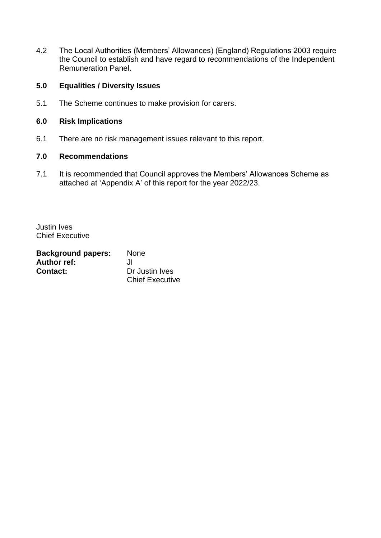4.2 The Local Authorities (Members' Allowances) (England) Regulations 2003 require the Council to establish and have regard to recommendations of the Independent Remuneration Panel.

### **5.0 Equalities / Diversity Issues**

5.1 The Scheme continues to make provision for carers.

### **6.0 Risk Implications**

6.1 There are no risk management issues relevant to this report.

### **7.0 Recommendations**

7.1 It is recommended that Council approves the Members' Allowances Scheme as attached at 'Appendix A' of this report for the year 2022/23.

Justin Ives Chief Executive

| <b>Background papers:</b> | <b>None</b>            |
|---------------------------|------------------------|
| <b>Author ref:</b>        | JI.                    |
| <b>Contact:</b>           | Dr Justin Ives         |
|                           | <b>Chief Executive</b> |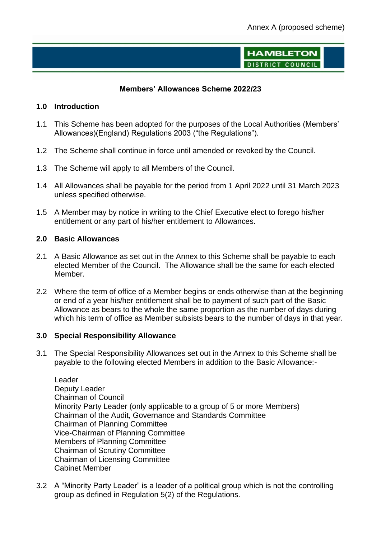**HAMBLETON DISTRICT COUNCIL** 

### **Members' Allowances Scheme 2022/23**

### **1.0 Introduction**

- 1.1 This Scheme has been adopted for the purposes of the Local Authorities (Members' Allowances)(England) Regulations 2003 ("the Regulations").
- 1.2 The Scheme shall continue in force until amended or revoked by the Council.
- 1.3 The Scheme will apply to all Members of the Council.
- 1.4 All Allowances shall be payable for the period from 1 April 2022 until 31 March 2023 unless specified otherwise.
- 1.5 A Member may by notice in writing to the Chief Executive elect to forego his/her entitlement or any part of his/her entitlement to Allowances.

### **2.0 Basic Allowances**

- 2.1 A Basic Allowance as set out in the Annex to this Scheme shall be payable to each elected Member of the Council. The Allowance shall be the same for each elected Member.
- 2.2 Where the term of office of a Member begins or ends otherwise than at the beginning or end of a year his/her entitlement shall be to payment of such part of the Basic Allowance as bears to the whole the same proportion as the number of days during which his term of office as Member subsists bears to the number of days in that year.

### **3.0 Special Responsibility Allowance**

3.1 The Special Responsibility Allowances set out in the Annex to this Scheme shall be payable to the following elected Members in addition to the Basic Allowance:-

Leader Deputy Leader Chairman of Council Minority Party Leader (only applicable to a group of 5 or more Members) Chairman of the Audit, Governance and Standards Committee Chairman of Planning Committee Vice-Chairman of Planning Committee Members of Planning Committee Chairman of Scrutiny Committee Chairman of Licensing Committee Cabinet Member

3.2 A "Minority Party Leader" is a leader of a political group which is not the controlling group as defined in Regulation 5(2) of the Regulations.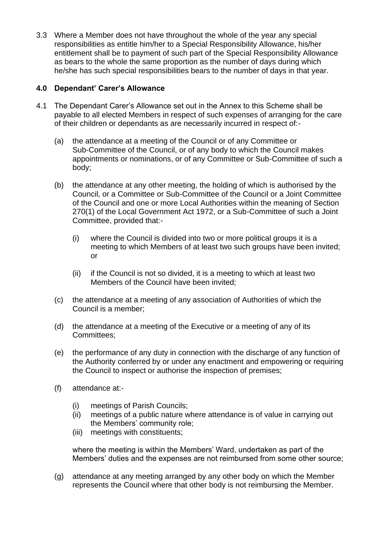3.3 Where a Member does not have throughout the whole of the year any special responsibilities as entitle him/her to a Special Responsibility Allowance, his/her entitlement shall be to payment of such part of the Special Responsibility Allowance as bears to the whole the same proportion as the number of days during which he/she has such special responsibilities bears to the number of days in that year.

# **4.0 Dependant' Carer's Allowance**

- 4.1 The Dependant Carer's Allowance set out in the Annex to this Scheme shall be payable to all elected Members in respect of such expenses of arranging for the care of their children or dependants as are necessarily incurred in respect of:-
	- (a) the attendance at a meeting of the Council or of any Committee or Sub-Committee of the Council, or of any body to which the Council makes appointments or nominations, or of any Committee or Sub-Committee of such a body;
	- (b) the attendance at any other meeting, the holding of which is authorised by the Council, or a Committee or Sub-Committee of the Council or a Joint Committee of the Council and one or more Local Authorities within the meaning of Section 270(1) of the Local Government Act 1972, or a Sub-Committee of such a Joint Committee, provided that:-
		- (i) where the Council is divided into two or more political groups it is a meeting to which Members of at least two such groups have been invited; or
		- (ii) if the Council is not so divided, it is a meeting to which at least two Members of the Council have been invited;
	- (c) the attendance at a meeting of any association of Authorities of which the Council is a member;
	- (d) the attendance at a meeting of the Executive or a meeting of any of its Committees;
	- (e) the performance of any duty in connection with the discharge of any function of the Authority conferred by or under any enactment and empowering or requiring the Council to inspect or authorise the inspection of premises;
	- (f) attendance at:-
		- (i) meetings of Parish Councils;
		- (ii) meetings of a public nature where attendance is of value in carrying out the Members' community role;
		- (iii) meetings with constituents;

where the meeting is within the Members' Ward, undertaken as part of the Members' duties and the expenses are not reimbursed from some other source;

(g) attendance at any meeting arranged by any other body on which the Member represents the Council where that other body is not reimbursing the Member.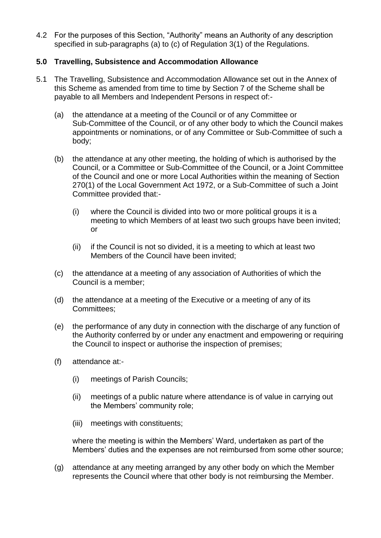4.2 For the purposes of this Section, "Authority" means an Authority of any description specified in sub-paragraphs (a) to (c) of Regulation 3(1) of the Regulations.

## **5.0 Travelling, Subsistence and Accommodation Allowance**

- 5.1 The Travelling, Subsistence and Accommodation Allowance set out in the Annex of this Scheme as amended from time to time by Section 7 of the Scheme shall be payable to all Members and Independent Persons in respect of:-
	- (a) the attendance at a meeting of the Council or of any Committee or Sub-Committee of the Council, or of any other body to which the Council makes appointments or nominations, or of any Committee or Sub-Committee of such a body;
	- (b) the attendance at any other meeting, the holding of which is authorised by the Council, or a Committee or Sub-Committee of the Council, or a Joint Committee of the Council and one or more Local Authorities within the meaning of Section 270(1) of the Local Government Act 1972, or a Sub-Committee of such a Joint Committee provided that:-
		- (i) where the Council is divided into two or more political groups it is a meeting to which Members of at least two such groups have been invited; or
		- (ii) if the Council is not so divided, it is a meeting to which at least two Members of the Council have been invited;
	- (c) the attendance at a meeting of any association of Authorities of which the Council is a member;
	- (d) the attendance at a meeting of the Executive or a meeting of any of its Committees;
	- (e) the performance of any duty in connection with the discharge of any function of the Authority conferred by or under any enactment and empowering or requiring the Council to inspect or authorise the inspection of premises;
	- (f) attendance at:-
		- (i) meetings of Parish Councils;
		- (ii) meetings of a public nature where attendance is of value in carrying out the Members' community role;
		- (iii) meetings with constituents;

where the meeting is within the Members' Ward, undertaken as part of the Members' duties and the expenses are not reimbursed from some other source;

(g) attendance at any meeting arranged by any other body on which the Member represents the Council where that other body is not reimbursing the Member.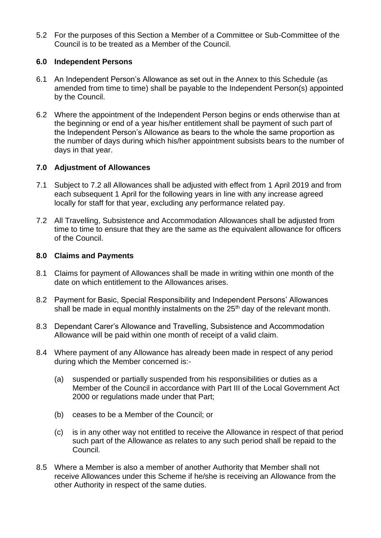5.2 For the purposes of this Section a Member of a Committee or Sub-Committee of the Council is to be treated as a Member of the Council.

## **6.0 Independent Persons**

- 6.1 An Independent Person's Allowance as set out in the Annex to this Schedule (as amended from time to time) shall be payable to the Independent Person(s) appointed by the Council.
- 6.2 Where the appointment of the Independent Person begins or ends otherwise than at the beginning or end of a year his/her entitlement shall be payment of such part of the Independent Person's Allowance as bears to the whole the same proportion as the number of days during which his/her appointment subsists bears to the number of days in that year.

# **7.0 Adjustment of Allowances**

- 7.1 Subject to 7.2 all Allowances shall be adjusted with effect from 1 April 2019 and from each subsequent 1 April for the following years in line with any increase agreed locally for staff for that year, excluding any performance related pay.
- 7.2 All Travelling, Subsistence and Accommodation Allowances shall be adjusted from time to time to ensure that they are the same as the equivalent allowance for officers of the Council.

# **8.0 Claims and Payments**

- 8.1 Claims for payment of Allowances shall be made in writing within one month of the date on which entitlement to the Allowances arises.
- 8.2 Payment for Basic, Special Responsibility and Independent Persons' Allowances shall be made in equal monthly instalments on the  $25<sup>th</sup>$  day of the relevant month.
- 8.3 Dependant Carer's Allowance and Travelling, Subsistence and Accommodation Allowance will be paid within one month of receipt of a valid claim.
- 8.4 Where payment of any Allowance has already been made in respect of any period during which the Member concerned is:-
	- (a) suspended or partially suspended from his responsibilities or duties as a Member of the Council in accordance with Part III of the Local Government Act 2000 or regulations made under that Part;
	- (b) ceases to be a Member of the Council; or
	- (c) is in any other way not entitled to receive the Allowance in respect of that period such part of the Allowance as relates to any such period shall be repaid to the Council.
- 8.5 Where a Member is also a member of another Authority that Member shall not receive Allowances under this Scheme if he/she is receiving an Allowance from the other Authority in respect of the same duties.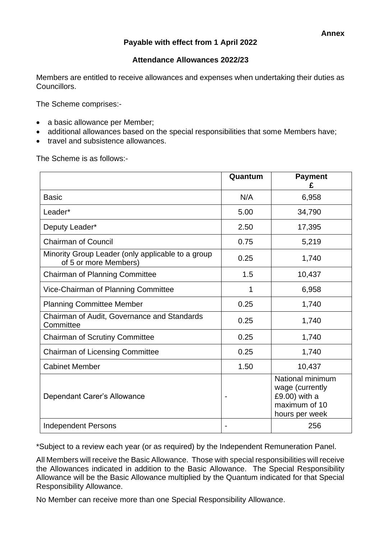# **Payable with effect from 1 April 2022**

### **Attendance Allowances 2022/23**

Members are entitled to receive allowances and expenses when undertaking their duties as Councillors.

The Scheme comprises:-

- a basic allowance per Member;
- additional allowances based on the special responsibilities that some Members have;
- travel and subsistence allowances.

The Scheme is as follows:-

|                                                                            | Quantum | <b>Payment</b><br>£                                                                     |
|----------------------------------------------------------------------------|---------|-----------------------------------------------------------------------------------------|
| <b>Basic</b>                                                               | N/A     | 6,958                                                                                   |
| Leader*                                                                    | 5.00    | 34,790                                                                                  |
| Deputy Leader*                                                             | 2.50    | 17,395                                                                                  |
| <b>Chairman of Council</b>                                                 | 0.75    | 5,219                                                                                   |
| Minority Group Leader (only applicable to a group<br>of 5 or more Members) | 0.25    | 1,740                                                                                   |
| <b>Chairman of Planning Committee</b>                                      | 1.5     | 10,437                                                                                  |
| Vice-Chairman of Planning Committee                                        | 1       | 6,958                                                                                   |
| <b>Planning Committee Member</b>                                           | 0.25    | 1,740                                                                                   |
| Chairman of Audit, Governance and Standards<br>Committee                   | 0.25    | 1,740                                                                                   |
| <b>Chairman of Scrutiny Committee</b>                                      | 0.25    | 1,740                                                                                   |
| <b>Chairman of Licensing Committee</b>                                     | 0.25    | 1,740                                                                                   |
| <b>Cabinet Member</b>                                                      | 1.50    | 10,437                                                                                  |
| Dependant Carer's Allowance                                                |         | National minimum<br>wage (currently<br>£9.00) with a<br>maximum of 10<br>hours per week |
| <b>Independent Persons</b>                                                 |         | 256                                                                                     |

\*Subject to a review each year (or as required) by the Independent Remuneration Panel.

All Members will receive the Basic Allowance. Those with special responsibilities will receive the Allowances indicated in addition to the Basic Allowance. The Special Responsibility Allowance will be the Basic Allowance multiplied by the Quantum indicated for that Special Responsibility Allowance.

No Member can receive more than one Special Responsibility Allowance.